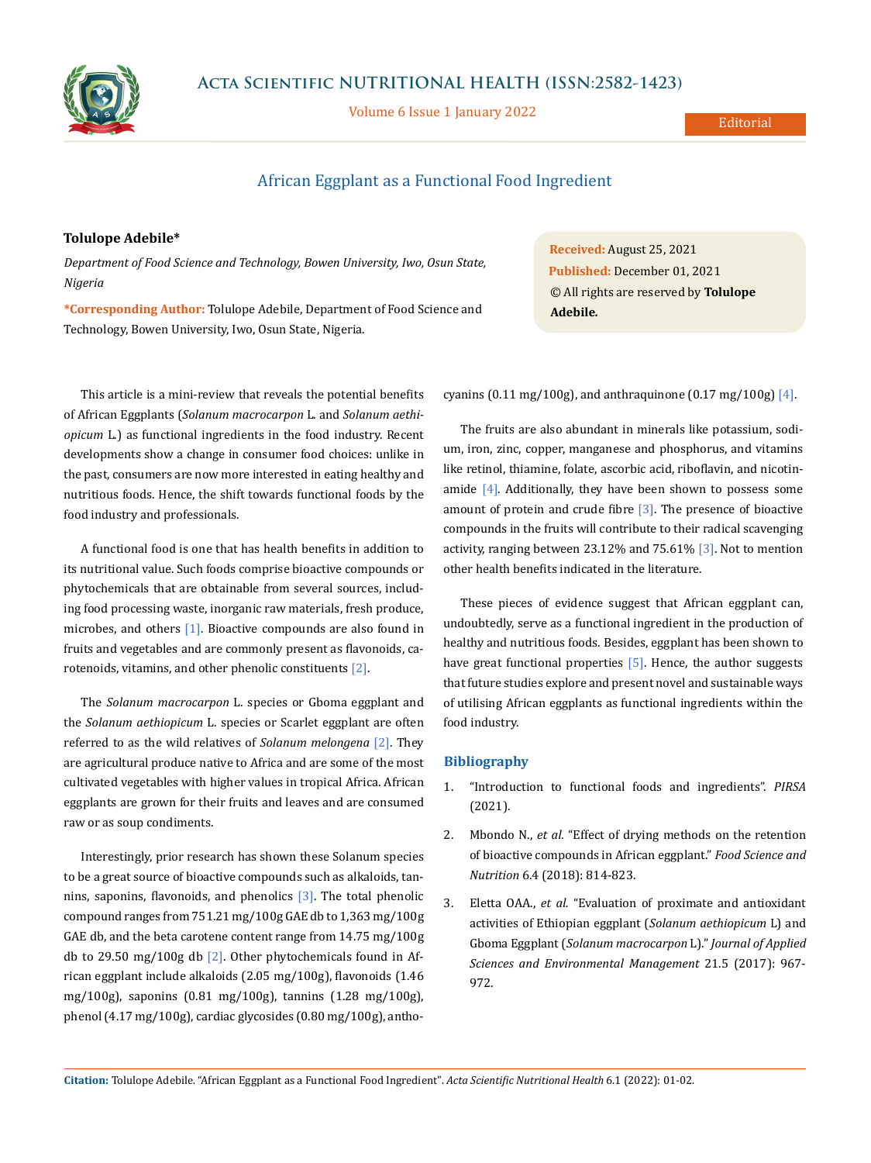

**Acta Scientific NUTRITIONAL HEALTH (ISSN:2582-1423)**

Volume 6 Issue 1 January 2022

## African Eggplant as a Functional Food Ingredient

## **Tolulope Adebile\***

*Department of Food Science and Technology, Bowen University, Iwo, Osun State, Nigeria*

**\*Corresponding Author:** Tolulope Adebile, Department of Food Science and Technology, Bowen University, Iwo, Osun State, Nigeria.

This article is a mini-review that reveals the potential benefits of African Eggplants (*Solanum macrocarpon* L. and *Solanum aethiopicum* L.) as functional ingredients in the food industry. Recent developments show a change in consumer food choices: unlike in the past, consumers are now more interested in eating healthy and nutritious foods. Hence, the shift towards functional foods by the food industry and professionals.

A functional food is one that has health benefits in addition to its nutritional value. Such foods comprise bioactive compounds or phytochemicals that are obtainable from several sources, including food processing waste, inorganic raw materials, fresh produce, microbes, and others [1]. Bioactive compounds are also found in fruits and vegetables and are commonly present as flavonoids, carotenoids, vitamins, and other phenolic constituents [2].

The *Solanum macrocarpon* L. species or Gboma eggplant and the *Solanum aethiopicum* L. species or Scarlet eggplant are often referred to as the wild relatives of *Solanum melongena* [2]. They are agricultural produce native to Africa and are some of the most cultivated vegetables with higher values in tropical Africa. African eggplants are grown for their fruits and leaves and are consumed raw or as soup condiments.

Interestingly, prior research has shown these Solanum species to be a great source of bioactive compounds such as alkaloids, tannins, saponins, flavonoids, and phenolics  $[3]$ . The total phenolic compound ranges from 751.21 mg/100g GAE db to 1,363 mg/100g GAE db, and the beta carotene content range from 14.75 mg/100g db to 29.50 mg/100g db  $[2]$ . Other phytochemicals found in African eggplant include alkaloids (2.05 mg/100g), flavonoids (1.46 mg/100g), saponins (0.81 mg/100g), tannins (1.28 mg/100g), phenol (4.17 mg/100g), cardiac glycosides (0.80 mg/100g), antho**Received:** August 25, 2021 **Published:** December 01, 2021 © All rights are reserved by **Tolulope Adebile***.*

cyanins (0.11 mg/100g), and anthraquinone (0.17 mg/100g)  $[4]$ .

The fruits are also abundant in minerals like potassium, sodium, iron, zinc, copper, manganese and phosphorus, and vitamins like retinol, thiamine, folate, ascorbic acid, riboflavin, and nicotinamide [4]. Additionally, they have been shown to possess some amount of protein and crude fibre [3]. The presence of bioactive compounds in the fruits will contribute to their radical scavenging activity, ranging between 23.12% and 75.61% [3]. Not to mention other health benefits indicated in the literature.

These pieces of evidence suggest that African eggplant can, undoubtedly, serve as a functional ingredient in the production of healthy and nutritious foods. Besides, eggplant has been shown to have great functional properties  $[5]$ . Hence, the author suggests that future studies explore and present novel and sustainable ways of utilising African eggplants as functional ingredients within the food industry.

## **Bibliography**

- 1. ["Introduction to functional foods and ingredients".](http://www.pir.sa.gov.au/__data/assets/pdf_file/0007/287683/Functional_Foods_Guidance_-_What_are_Functional_Foods.pdf) *PIRSA* [\(2021\).](http://www.pir.sa.gov.au/__data/assets/pdf_file/0007/287683/Functional_Foods_Guidance_-_What_are_Functional_Foods.pdf)
- 2. Mbondo N., *et al.* ["Effect of drying methods on the retention](https://doi.org/10.1002/fsn3.623)  [of bioactive compounds in African eggplant."](https://doi.org/10.1002/fsn3.623) *Food Science and Nutrition* [6.4 \(2018\): 814-823.](https://doi.org/10.1002/fsn3.623)
- 3. Eletta OAA., *et al.* ["Evaluation of proximate and antioxidant](https://dx.doi.org/10.4314/jasem.v21i5.25)  [activities of Ethiopian eggplant \(](https://dx.doi.org/10.4314/jasem.v21i5.25)*Solanum aethiopicum* L) and Gboma Eggplant (*[Solanum macrocarpon](https://dx.doi.org/10.4314/jasem.v21i5.25)* L)." *Journal of Applied [Sciences and Environmental Management](https://dx.doi.org/10.4314/jasem.v21i5.25)* 21.5 (2017): 967- [972.](https://dx.doi.org/10.4314/jasem.v21i5.25)